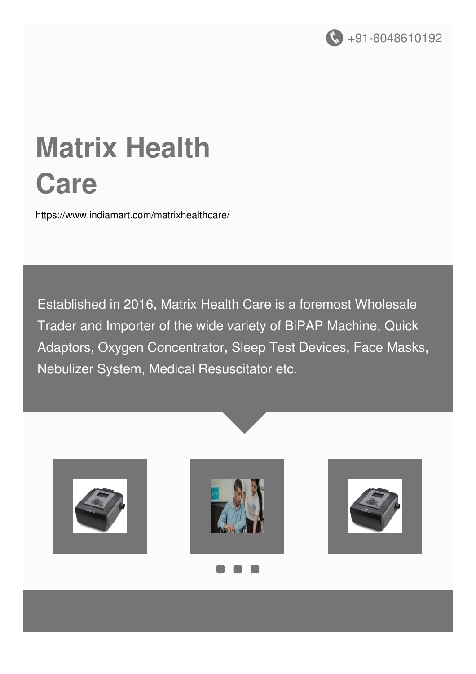

# **Matrix Health Care**

<https://www.indiamart.com/matrixhealthcare/>

Established in 2016, Matrix Health Care is a foremost Wholesale Trader and Importer of the wide variety of BiPAP Machine, Quick Adaptors, Oxygen Concentrator, Sleep Test Devices, Face Masks, Nebulizer System, Medical Resuscitator etc.

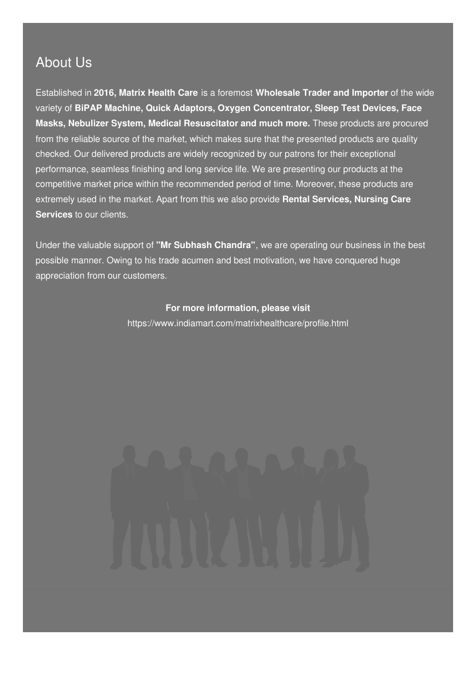#### About Us

Established in **2016, Matrix Health Care** is a foremost **Wholesale Trader and Importer** of the wide variety of **BiPAP Machine, Quick Adaptors, Oxygen Concentrator, Sleep Test Devices, Face Masks, Nebulizer System, Medical Resuscitator and much more.** These products are procured from the reliable source of the market, which makes sure that the presented products are quality checked. Our delivered products are widely recognized by our patrons for their exceptional performance, seamless finishing and long service life. We are presenting our products at the competitive market price within the recommended period of time. Moreover, these products are extremely used in the market. Apart from this we also provide **Rental Services, Nursing Care Services** to our clients.

Under the valuable support of **"Mr Subhash Chandra"**, we are operating our business in the best possible manner. Owing to his trade acumen and best motivation, we have conquered huge appreciation from our customers.

#### **For more information, please visit**

<https://www.indiamart.com/matrixhealthcare/profile.html>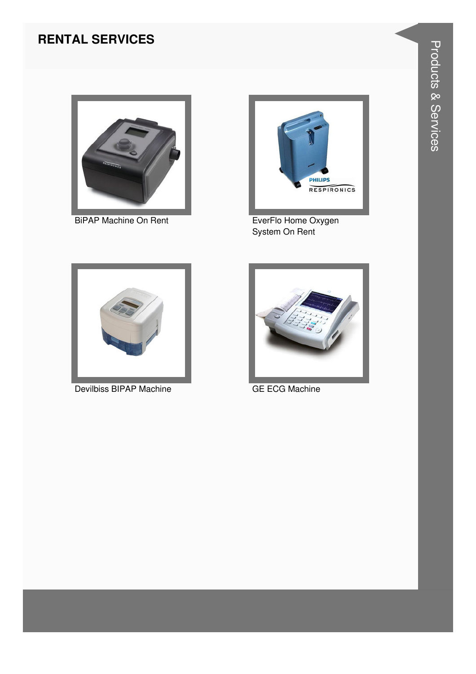#### **RENTAL SERVICES**



**BiPAP Machine On Rent** 



EverFlo Home Oxygen<br>System On Rent



Devilbiss BIPAP Machine



**GE ECG Machine**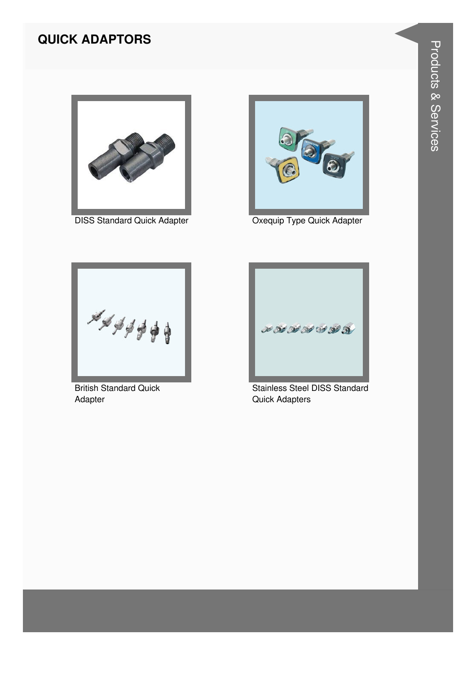#### **QUICK ADAPTORS**



**DISS Standard Quick Adapter** 



Oxequip Type Quick Adapter



**British Standard Quick** Adapter



Stainless Steel DISS Standard **Quick Adapters**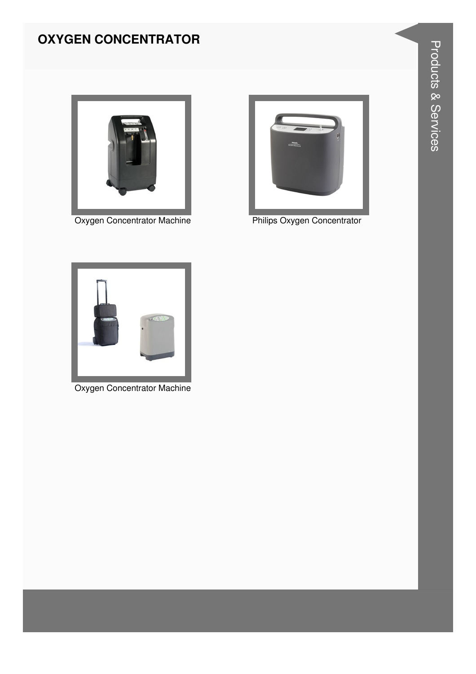### **OXYGEN CONCENTRATOR**



**Oxygen Concentrator Machine** 



Philips Oxygen Concentrator



Oxygen Concentrator Machine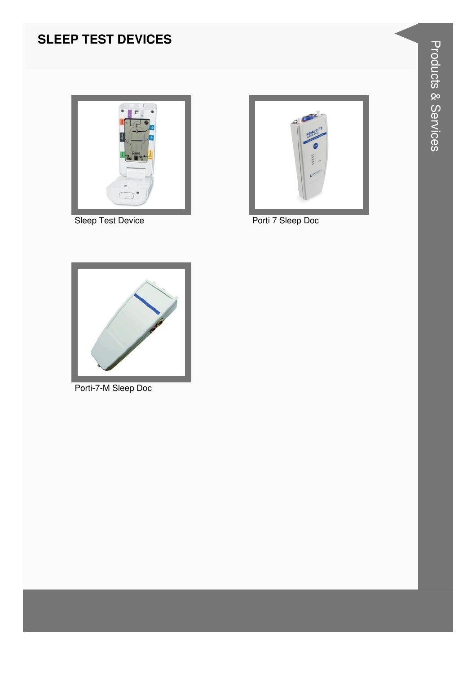#### **SLEEP TEST DEVICES**



**Sleep Test Device** 



Porti 7 Sleep Doc



Porti-7-M Sleep Doc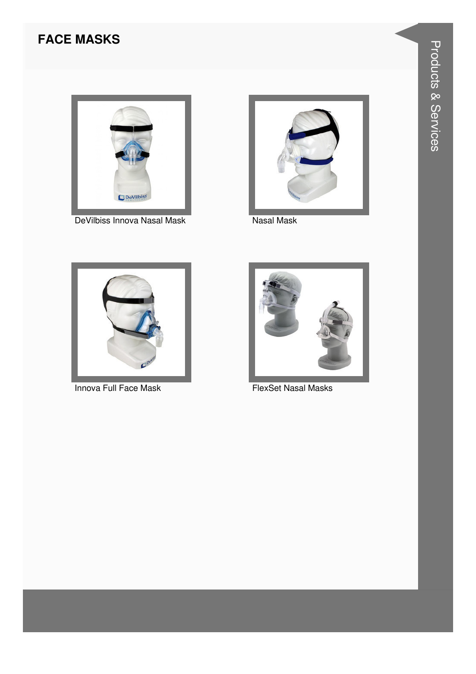#### **FACE MASKS**



DeVilbiss Innova Nasal Mask



**Nasal Mask** 



Innova Full Face Mask



**FlexSet Nasal Masks**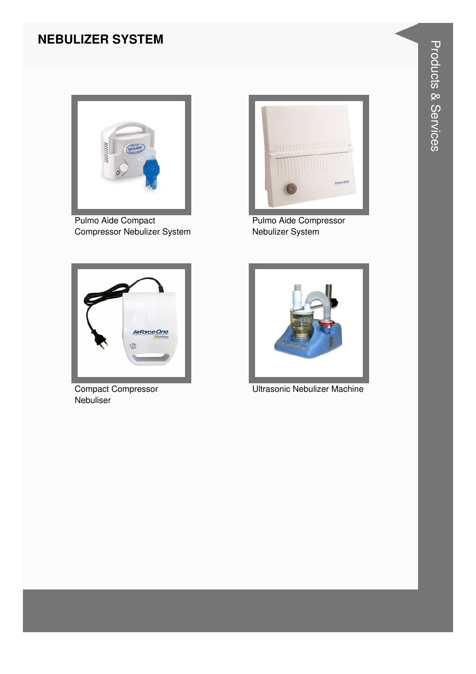#### **NEBULIZER SYSTEM**



Pulmo Aide Compact Compressor Nebulizer System



Pulmo Aide Compressor Nebulizer System



Compact Compressor **Nebuliser** 



Ultrasonic Nebulizer Machine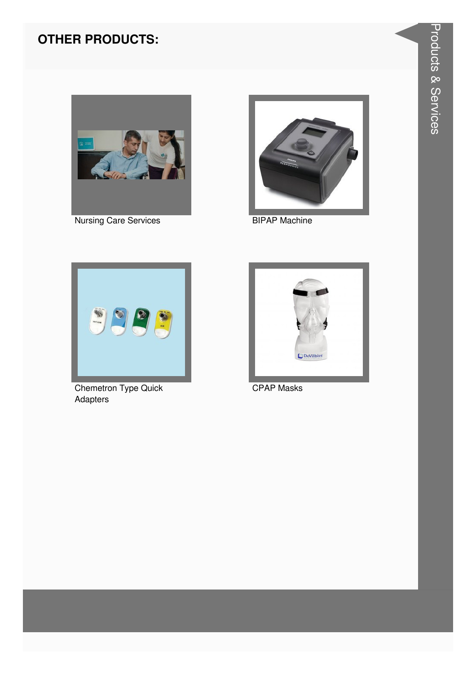#### **OTHER PRODUCTS:**



**Nursing Care Services** 



**BIPAP Machine** 



**Chemetron Type Quick** Adapters



**CPAP Masks**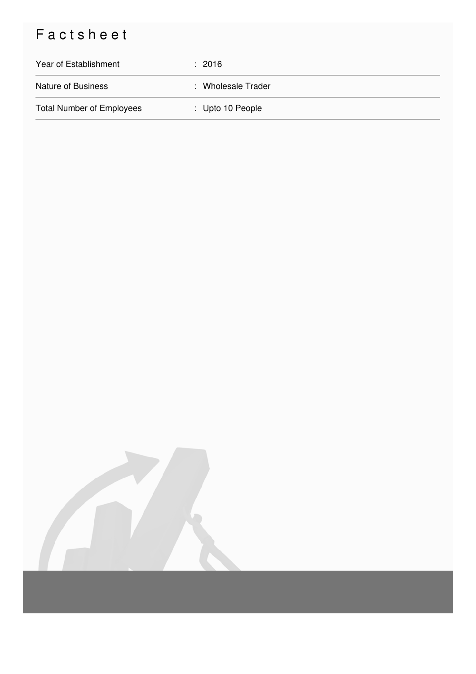## Factsheet

| Year of Establishment            | : 2016             |
|----------------------------------|--------------------|
| <b>Nature of Business</b>        | : Wholesale Trader |
| <b>Total Number of Employees</b> | : Upto 10 People   |